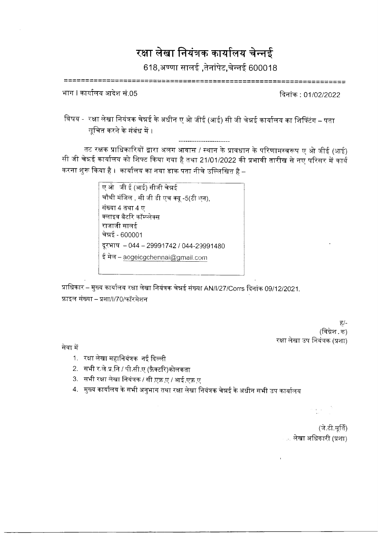## रक्षा लेखा नियंत्रक कार्यालय चेन्नई

618,अण्णा सालई ,तेनांपेट,चेन्नई 600018

======================== =================

भाग । कार्यालय आदेश सं.05

दिनांक : 01/02/2022

विषय - रक्षा लेखा नियंत्रक चेन्नई के अधीन ए ओ जीई (आई) सी जी चेन्नई कार्यालय का शिफ्टिंग – पता सूचित करने के संबंध में ।

तट रक्षक प्राधिकारियों द्वारा अलग आवास / स्थान के प्रावधान के परिणामस्वरूप ए ओ जीई (आई) सी जी चेन्नई कार्यालय को शिफ्ट किया गया है तथा 21/01/2022 की प्रभावी तारीख से नए परिसर में कार्य करना शुरू किया है । कार्यालय का नया डाक पता नीचे उल्लिखित है –

> ए ओजीई (आई) सीजी चेन्नई चौथी मंजिल , सी जी डी एच क्यू -5(टी एन), संख्या 4 तथा 4 ए क्लाइव बैटरि कॉम्प्लेक्स राजाजी सालई चेन्नई - 600001 दूरभाष - 044 - 29991742 / 044-29991480 ई मेल - aogeicgchennai@gmail.com

प्राधिकार – मुख्य कार्यालय रक्षा लेखा नियंत्रक चेन्नई संख्या AN/I/27/Corrs दिनांक 09/12/2021, फ़ाइल संख्या – प्रशा/l/70/फॉरमेशन

> ਨੂ/ (विग्नेश क) रक्षा लेखा उप नियंत्रक (प्रशा)

सेवा में

- 1. रक्षा लेखा महानियंत्रक नई दिल्ली
- 2. सभी र ले.प्र.नि / पी.सी.ए (फ़ैक्टरि)कोलकता
- 3. सभी रक्षा लेखा नियंत्रक / सी एफ़ ए / आई.एफ़ ए
- 4. मुख्य कार्यालय के सभी अनुभाग तथा रक्षा लेखा नियंत्रक चेन्नई के अधीन सभी उप कार्यालय

(जे.टी.पूर्ति) .. लेखा अधिकारी (प्रशा)